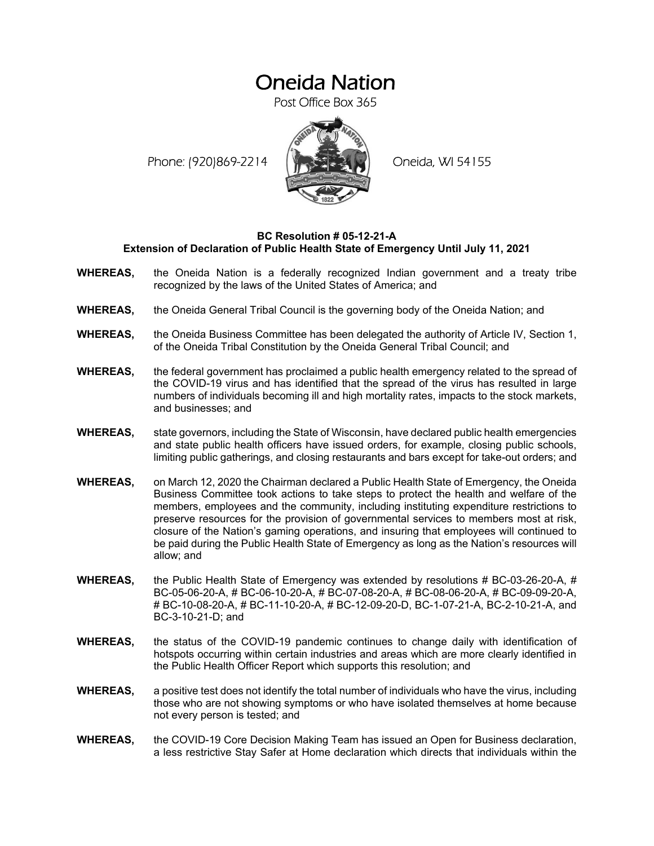# Oneida Nation

Post Office Box 365

Phone: (920)869-2214 (XXXXXXX) Oneida, WI 54155



### **BC Resolution # 05-12-21-A Extension of Declaration of Public Health State of Emergency Until July 11, 2021**

- **WHEREAS,** the Oneida Nation is a federally recognized Indian government and a treaty tribe recognized by the laws of the United States of America; and
- **WHEREAS,** the Oneida General Tribal Council is the governing body of the Oneida Nation; and
- **WHEREAS,** the Oneida Business Committee has been delegated the authority of Article IV, Section 1, of the Oneida Tribal Constitution by the Oneida General Tribal Council; and
- **WHEREAS,** the federal government has proclaimed a public health emergency related to the spread of the COVID-19 virus and has identified that the spread of the virus has resulted in large numbers of individuals becoming ill and high mortality rates, impacts to the stock markets, and businesses; and
- **WHEREAS,** state governors, including the State of Wisconsin, have declared public health emergencies and state public health officers have issued orders, for example, closing public schools, limiting public gatherings, and closing restaurants and bars except for take-out orders; and
- **WHEREAS,** on March 12, 2020 the Chairman declared a Public Health State of Emergency, the Oneida Business Committee took actions to take steps to protect the health and welfare of the members, employees and the community, including instituting expenditure restrictions to preserve resources for the provision of governmental services to members most at risk, closure of the Nation's gaming operations, and insuring that employees will continued to be paid during the Public Health State of Emergency as long as the Nation's resources will allow; and
- **WHEREAS,** the Public Health State of Emergency was extended by resolutions # BC-03-26-20-A, # BC-05-06-20-A, # BC-06-10-20-A, # BC-07-08-20-A, # BC-08-06-20-A, # BC-09-09-20-A, # BC-10-08-20-A, # BC-11-10-20-A, # BC-12-09-20-D, BC-1-07-21-A, BC-2-10-21-A, and BC-3-10-21-D; and
- **WHEREAS,** the status of the COVID-19 pandemic continues to change daily with identification of hotspots occurring within certain industries and areas which are more clearly identified in the Public Health Officer Report which supports this resolution; and
- **WHEREAS,** a positive test does not identify the total number of individuals who have the virus, including those who are not showing symptoms or who have isolated themselves at home because not every person is tested; and
- **WHEREAS,** the COVID-19 Core Decision Making Team has issued an Open for Business declaration, a less restrictive Stay Safer at Home declaration which directs that individuals within the